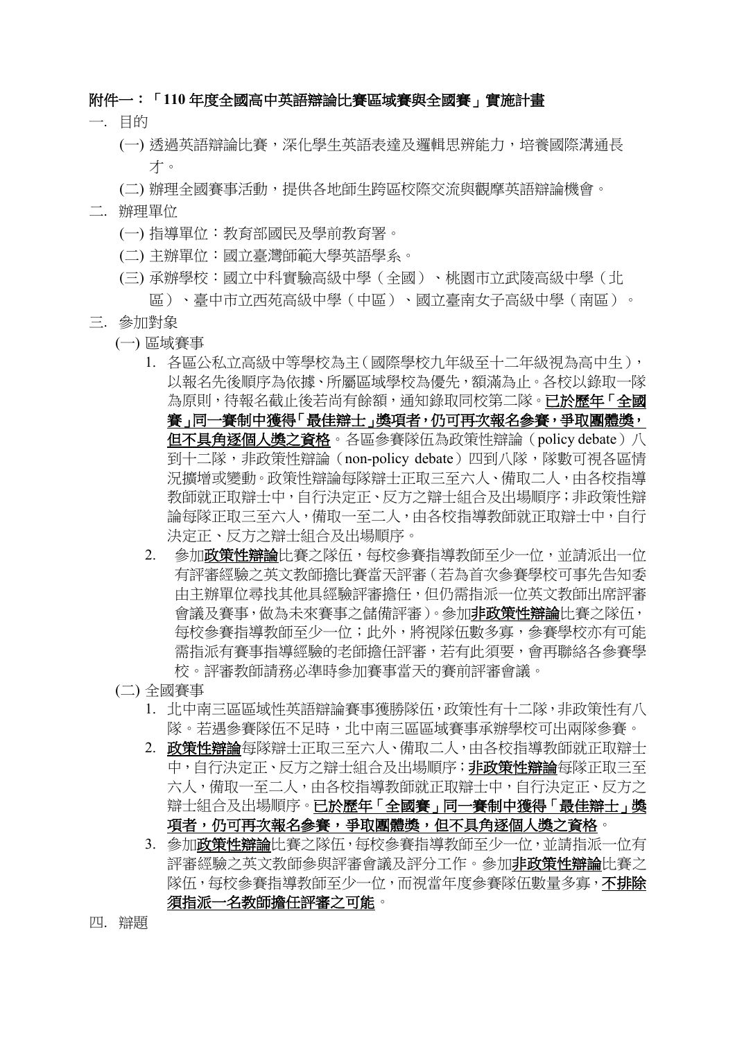#### 附件一:「**110** 年度全國高中英語辯論比賽區域賽與全國賽」實施計畫

- 一. 目的
	- (一) 透過英語辯論比賽,深化學生英語表達及邏輯思辨能力,培養國際溝通長 才。
	- (二) 辦理全國賽事活動,提供各地師生跨區校際交流與觀摩英語辯論機會。
- 二. 辦理單位
	- (一) 指導單位:教育部國民及學前教育署。
	- (二) 主辦單位:國立臺灣師範大學英語學系。
	- (三) 承辦學校:國立中科實驗高級中學(全國)、桃園市立武陵高級中學(北

區)、臺中市立西苑高級中學(中區)、國立臺南女子高級中學(南區)。

- 三. 參加對象
	- (一) 區域賽事
		- 1. 各區公私立高級中等學校為主(國際學校九年級至十二年級視為高中生), 以報名先後順序為依據、所屬區域學校為優先,額滿為止。各校以錄取一隊 為原則,待報名截止後若尚有餘額,通知錄取同校第二隊。已於歷年「全國 賽」同一賽制中獲得「最佳辯士」獎項者,仍可再次報名參賽,爭取團體獎, 但不具角逐個人獎之資格。各區參賽隊伍為政策性辯論(policy debate)八 到十二隊,非政策性辯論(non-policy debate)四到八隊,隊數可視各區情 況擴增或變動。政策性辯論每隊辯士正取三至六人、備取二人,由各校指導 教師就正取辯士中,自行決定正、反方之辯士組合及出場順序;非政策性辯 論每隊正取三至六人,備取一至二人,由各校指導教師就正取辯士中,自行 決定正、反方之辯士組合及出場順序。
		- 2. 參加政策性辯論比賽之隊伍,每校參賽指導教師至少一位,並請派出一位 有評審經驗之英文教師擔比賽當天評審(若為首次參賽學校可事先告知委 由主辦單位尋找其他具經驗評審擔任,但仍需指派一位英文教師出席評審 會議及賽事,做為未來賽事之儲備評審)。參加非政策性辯論比賽之隊伍, 每校參賽指導教師至少一位;此外,將視隊伍數多寡,參賽學校亦有可能 需指派有賽事指導經驗的老師擔任評審,若有此須要,會再聯絡各參賽學 校。評審教師請務必準時參加賽事當天的賽前評審會議。
	- (二) 全國賽事
		- 1. 北中南三區區域性英語辯論賽事獲勝隊伍,政策性有十二隊,非政策性有八 隊。若遇參賽隊伍不足時,北中南三區區域賽事承辦學校可出兩隊參賽。
		- 2. 政策性辯論每隊辯士正取三至六人、備取二人,由各校指導教師就正取辯士 中,自行決定正、反方之辯士組合及出場順序;非政策性辯論每隊正取三至 六人,備取一至二人,由各校指導教師就正取辯十中,自行決定正、反方之 辯士組合及出場順序。已於歷年「全國賽」同一賽制中獲得「最佳辯士」獎 項者,仍可再次報名參賽,爭取團體獎,但不具角逐個人獎之資格。
		- 3. 參加政策性辯論比賽之隊伍,每校參賽指導教師至少一位,並請指派一位有 評審經驗之英文教師參與評審會議及評分工作。參加**非政策性辯論**比賽之 隊伍,每校參賽指導教師至少一位,而視當年度參賽隊伍數量多寡,不排除 須指派一名教師擔任評審之可能。
- 四. 辯題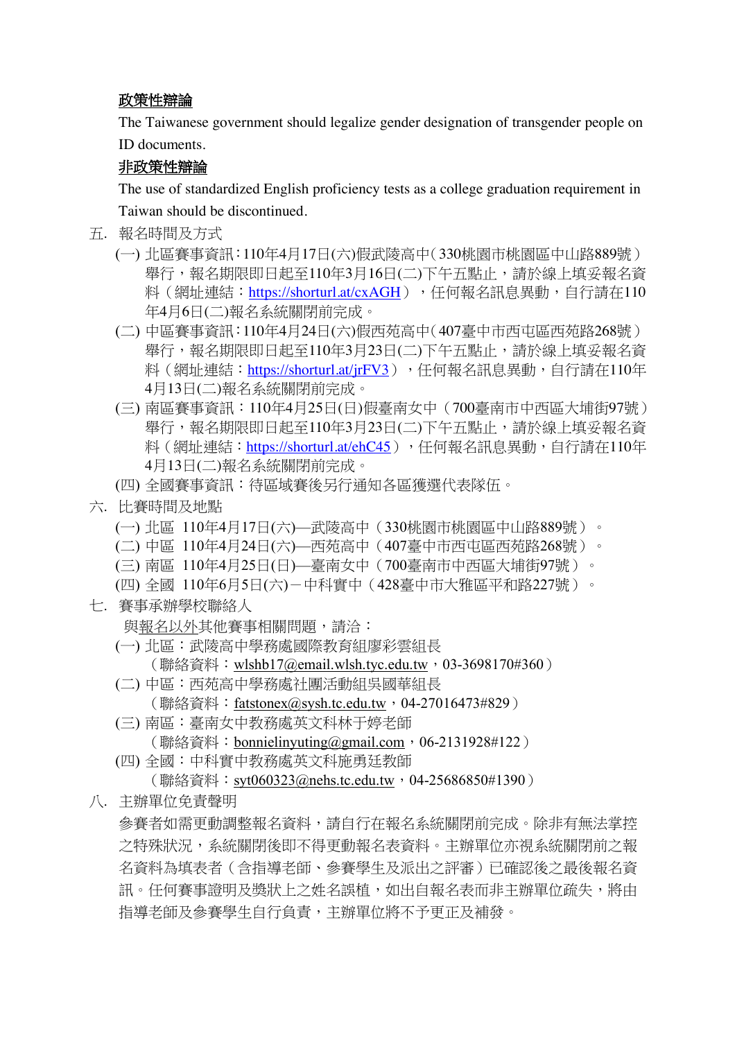## 政策性辯論

The Taiwanese government should legalize gender designation of transgender people on ID documents.

## 非政策性辯論

The use of standardized English proficiency tests as a college graduation requirement in Taiwan should be discontinued.

- 五. 報名時間及方式
	- (一) 北區賽事資訊:110年4月17日(六)假武陵高中(330桃園市桃園區中山路889號) 舉行,報名期限即日起至110年3月16日(二)下午五點止,請於線上填妥報名資 料(網址連結: https://shorturl.at/cxAGH),任何報名訊息異動,自行請在110 年4月6日(二)報名系統關閉前完成。
	- (二) 中區賽事資訊:110年4月24日(六)假西苑高中(407臺中市西屯區西苑路268號) 舉行,報名期限即日起至110年3月23日(二)下午五點止,請於線上填妥報名資 料(網址連結: https://shorturl.at/jrFV3),任何報名訊息異動,自行請在110年 4月13日(二)報名系統關閉前完成。
	- (三) 南區賽事資訊:110年4月25日(日)假臺南女中(700臺南市中西區大埔街97號) 舉行,報名期限即日起至110年3月23日(二)下午五點止,請於線上填妥報名資 料(網址連結: https://shorturl.at/ehC45),任何報名訊息異動,自行請在110年 4月13日(二)報名系統關閉前完成。
	- (四) 全國賽事資訊:待區域賽後另行通知各區獲選代表隊伍。
- 六. 比賽時間及地點
	- (一) 北區 110年4月17日(六)—武陵高中(330桃園市桃園區中山路889號)。
	- (二) 中區 110年4月24日(六)—西苑高中(407臺中市西屯區西苑路268號)。
	- (三) 南區 110年4月25日(日)—臺南女中(700臺南市中西區大埔街97號)。
	- (四) 全國 110年6月5日(六)-中科實中(428臺中市大雅區平和路227號)。
- 七. 賽事承辦學校聯絡人
	- 與報名以外其他賽事相關問題,請洽:
	- (一) 北區:武陵高中學務處國際教育組廖彩雲組長
		- (聯絡資料: wlshb17@email.wlsh.tyc.edu.tw, 03-3698170#360)
	- (二) 中區:西苑高中學務處社團活動組吳國華組長 (聯絡資料: fatstonex@sysh.tc.edu.tw, 04-27016473#829)
	- (三) 南區:臺南女中教務處英文科林于婷老師 (聯絡資料:bonnielinyuting@gmail.com,06-2131928#122)
	- (四) 全國:中科實中教務處英文科施勇廷教師

(聯絡資料:syt060323@nehs.tc.edu.tw,04-25686850#1390)

八. 主辦單位免責聲明

參賽者如需更動調整報名資料,請自行在報名系統關閉前完成。除非有無法掌控 之特殊狀況,系統關閉後即不得更動報名表資料。主辦單位亦視系統關閉前之報 名資料為填表者(含指導老師、參賽學生及派出之評審)已確認後之最後報名資 訊。任何賽事證明及獎狀上之姓名誤植,如出自報名表而非主辦單位疏失,將由 指導老師及參賽學生自行負責,主辦單位將不予更正及補發。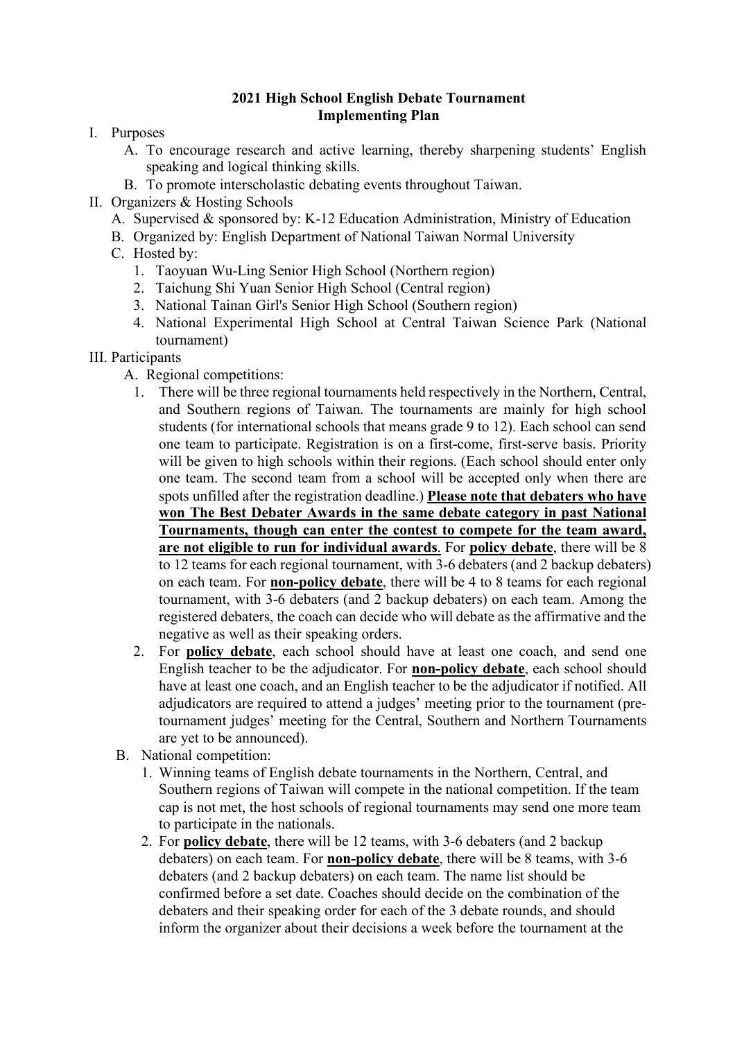## **2021 High School English Debate Tournament Implementing Plan**

- I. Purposes
	- A. To encourage research and active learning, thereby sharpening students' English speaking and logical thinking skills.
	- B. To promote interscholastic debating events throughout Taiwan.
- II. Organizers & Hosting Schools
	- A. Supervised & sponsored by: K-12 Education Administration, Ministry of Education
	- B. Organized by: English Department of National Taiwan Normal University
	- C. Hosted by:
		- 1. Taoyuan Wu-Ling Senior High School (Northern region)
		- 2. Taichung Shi Yuan Senior High School (Central region)
		- 3. National Tainan Girl's Senior High School (Southern region)
		- 4. National Experimental High School at Central Taiwan Science Park (National tournament)
- III. Participants
	- A. Regional competitions:
		- 1. There will be three regional tournaments held respectively in the Northern, Central, and Southern regions of Taiwan. The tournaments are mainly for high school students (for international schools that means grade 9 to 12). Each school can send one team to participate. Registration is on a first-come, first-serve basis. Priority will be given to high schools within their regions. (Each school should enter only one team. The second team from a school will be accepted only when there are spots unfilled after the registration deadline.) **Please note that debaters who have won The Best Debater Awards in the same debate category in past National Tournaments, though can enter the contest to compete for the team award, are not eligible to run for individual awards**. For **policy debate**, there will be 8 to 12 teams for each regional tournament, with 3-6 debaters (and 2 backup debaters) on each team. For **non-policy debate**, there will be 4 to 8 teams for each regional tournament, with 3-6 debaters (and 2 backup debaters) on each team. Among the registered debaters, the coach can decide who will debate as the affirmative and the negative as well as their speaking orders.
		- 2. For **policy debate**, each school should have at least one coach, and send one English teacher to be the adjudicator. For **non-policy debate**, each school should have at least one coach, and an English teacher to be the adjudicator if notified. All adjudicators are required to attend a judges' meeting prior to the tournament (pretournament judges' meeting for the Central, Southern and Northern Tournaments are yet to be announced).
	- B. National competition:
		- 1. Winning teams of English debate tournaments in the Northern, Central, and Southern regions of Taiwan will compete in the national competition. If the team cap is not met, the host schools of regional tournaments may send one more team to participate in the nationals.
		- 2. For **policy debate**, there will be 12 teams, with 3-6 debaters (and 2 backup debaters) on each team. For **non-policy debate**, there will be 8 teams, with 3-6 debaters (and 2 backup debaters) on each team. The name list should be confirmed before a set date. Coaches should decide on the combination of the debaters and their speaking order for each of the 3 debate rounds, and should inform the organizer about their decisions a week before the tournament at the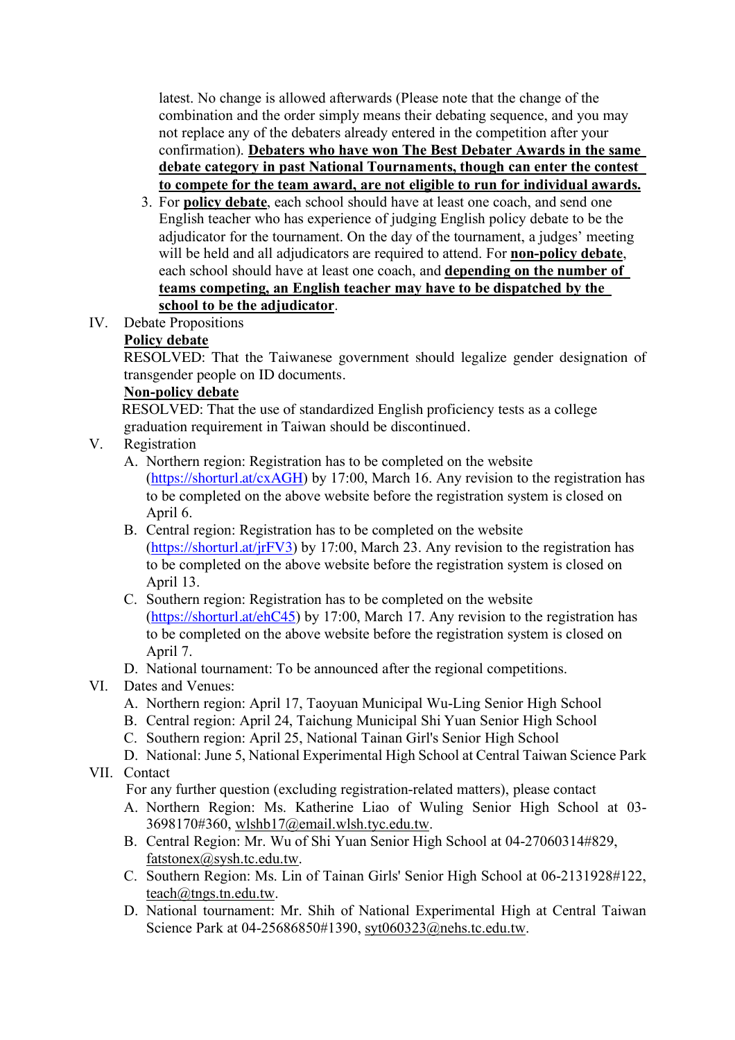latest. No change is allowed afterwards (Please note that the change of the combination and the order simply means their debating sequence, and you may not replace any of the debaters already entered in the competition after your confirmation). **Debaters who have won The Best Debater Awards in the same debate category in past National Tournaments, though can enter the contest to compete for the team award, are not eligible to run for individual awards.**

- 3. For **policy debate**, each school should have at least one coach, and send one English teacher who has experience of judging English policy debate to be the adjudicator for the tournament. On the day of the tournament, a judges' meeting will be held and all adjudicators are required to attend. For **non-policy debate**, each school should have at least one coach, and **depending on the number of teams competing, an English teacher may have to be dispatched by the school to be the adjudicator**.
- IV. Debate Propositions

## **Policy debate**

RESOLVED: That the Taiwanese government should legalize gender designation of transgender people on ID documents.

#### **Non-policy debate**

RESOLVED: That the use of standardized English proficiency tests as a college graduation requirement in Taiwan should be discontinued.

- V. Registration
	- A. Northern region: Registration has to be completed on the website (https://shorturl.at/cxAGH) by 17:00, March 16. Any revision to the registration has to be completed on the above website before the registration system is closed on April 6.
	- B. Central region: Registration has to be completed on the website (https://shorturl.at/jrFV3) by 17:00, March 23. Any revision to the registration has to be completed on the above website before the registration system is closed on April 13.
	- C. Southern region: Registration has to be completed on the website (https://shorturl.at/ehC45) by 17:00, March 17. Any revision to the registration has to be completed on the above website before the registration system is closed on April 7.
	- D. National tournament: To be announced after the regional competitions.

## VI. Dates and Venues:

- A. Northern region: April 17, Taoyuan Municipal Wu-Ling Senior High School
- B. Central region: April 24, Taichung Municipal Shi Yuan Senior High School
- C. Southern region: April 25, National Tainan Girl's Senior High School
- D. National: June 5, National Experimental High School at Central Taiwan Science Park

## VII. Contact

For any further question (excluding registration-related matters), please contact

- A. Northern Region: Ms. Katherine Liao of Wuling Senior High School at 03- 3698170#360, wlshb17@email.wlsh.tyc.edu.tw.
- B. Central Region: Mr. Wu of Shi Yuan Senior High School at 04-27060314#829, fatstonex@sysh.tc.edu.tw.
- C. Southern Region: Ms. Lin of Tainan Girls' Senior High School at 06-2131928#122, teach@tngs.tn.edu.tw.
- D. National tournament: Mr. Shih of National Experimental High at Central Taiwan Science Park at 04-25686850#1390, syt060323@nehs.tc.edu.tw.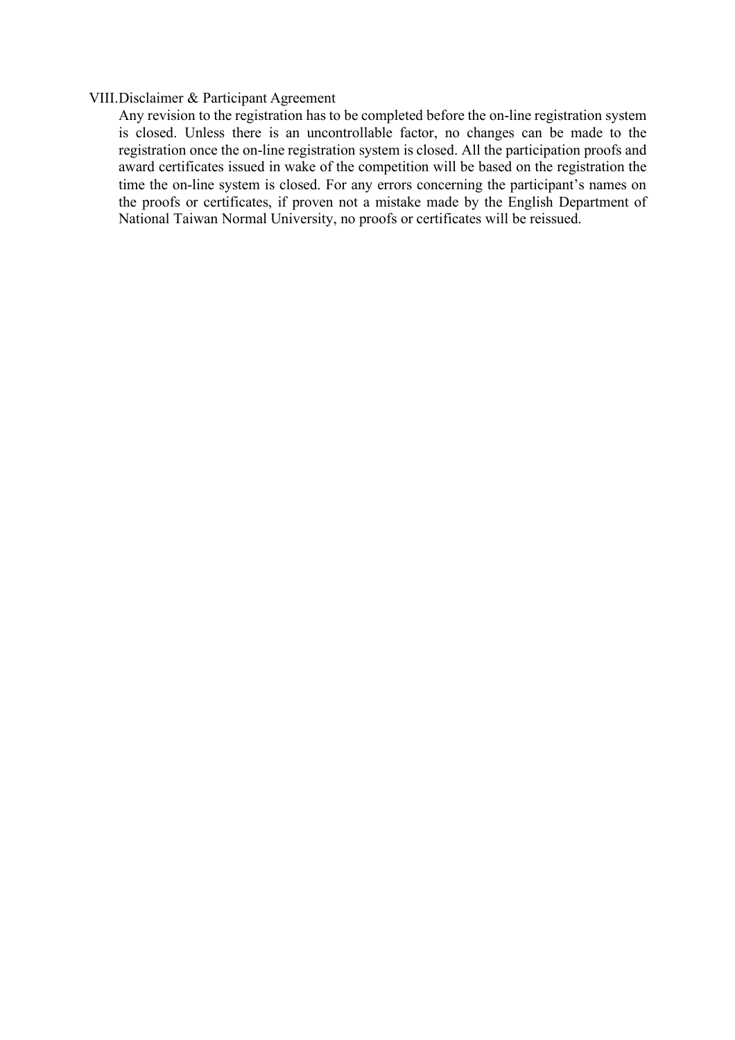#### VIII.Disclaimer & Participant Agreement

Any revision to the registration has to be completed before the on-line registration system is closed. Unless there is an uncontrollable factor, no changes can be made to the registration once the on-line registration system is closed. All the participation proofs and award certificates issued in wake of the competition will be based on the registration the time the on-line system is closed. For any errors concerning the participant's names on the proofs or certificates, if proven not a mistake made by the English Department of National Taiwan Normal University, no proofs or certificates will be reissued.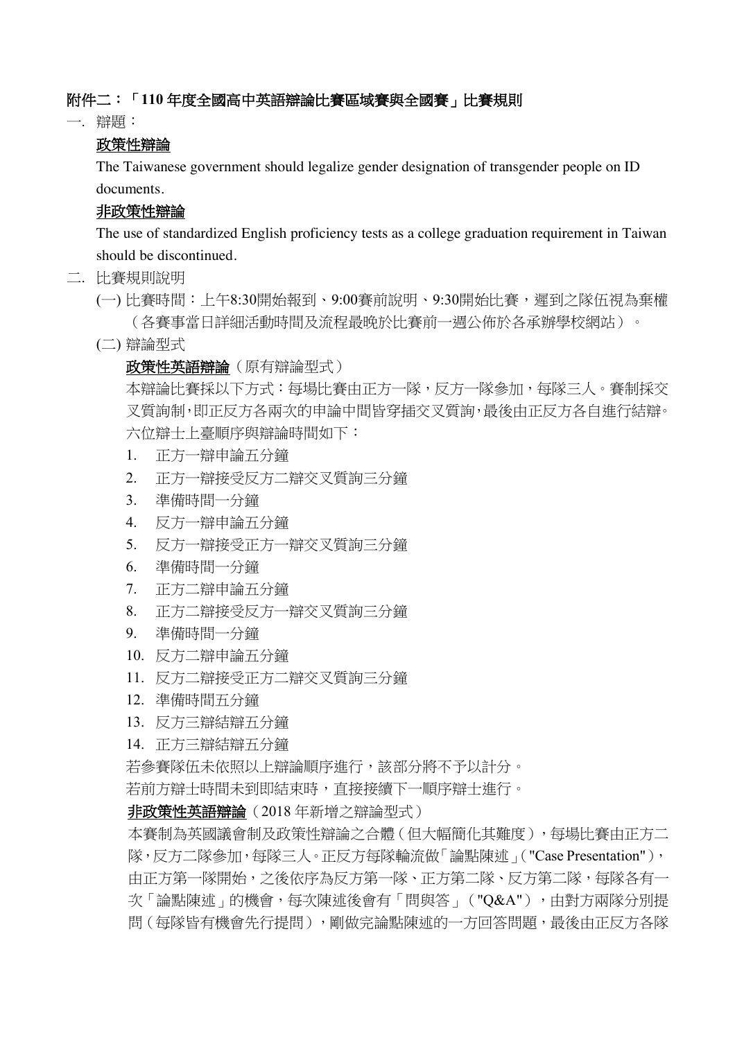#### 附件二:「**110** 年度全國高中英語辯論比賽區域賽與全國賽」比賽規則

一. 辯題:

#### 政策性辯論

The Taiwanese government should legalize gender designation of transgender people on ID documents.

#### 非政策性辯論

The use of standardized English proficiency tests as a college graduation requirement in Taiwan should be discontinued.

- 二. 比賽規則說明
	- (一) 比賽時間:上午8:30開始報到、9:00賽前說明、9:30開始比賽,遲到之隊伍視為棄權 (各賽事當日詳細活動時間及流程最晚於比賽前一週公佈於各承辦學校網站)。
	- (二) 辯論型式

#### 政策性英語辯論(原有辯論型式)

本辯論比賽採以下方式:每場比賽由正方一隊,反方一隊參加,每隊三人。賽制採交 叉質詢制,即正反方各兩次的申論中間皆穿插交叉質詢,最後由正反方各自進行結辯。 六位辯士上臺順序與辯論時間如下:

- 1. 正方一辯申論五分鐘
- 2. 正方一辯接受反方二辯交叉質詢三分鐘
- 3. 準備時間一分鐘
- 4. 反方一辯申論五分鐘
- 5. 反方一辯接受正方一辯交叉質詢三分鐘
- 6. 準備時間一分鐘
- 7. 正方二辯申論五分鐘
- 8. 正方二辯接受反方一辯交叉質詢三分鐘
- 9. 準備時間一分鐘
- 10. 反方二辯申論五分鐘
- 11. 反方二辯接受正方二辯交叉質詢三分鐘
- 12. 準備時間五分鐘
- 13. 反方三辯結辯五分鐘
- 14. 正方三辯結辯五分鐘

若參賽隊伍未依照以上辯論順序進行,該部分將不予以計分。

若前方辯士時間未到即結束時,直接接續下一順序辯士進行。

非政策性英語辯論(2018 年新增之辯論型式)

本賽制為英國議會制及政策性辯論之合體(但大幅簡化其難度),每場比賽由正方二 隊,反方二隊參加,每隊三人。正反方每隊輪流做「論點陳述」("Case Presentation"), 由正方第一隊課用始,之後依序為反方第一隊、正方第二隊、反方第二隊,每隊各有一 次「論點陳述」的機會,每次陳述後會有「問與答」("Q&A"),由對方兩隊分別提 問(每隊皆有機會先行提問),剛做完論點陳述的一方回答問題,最後由正反方各隊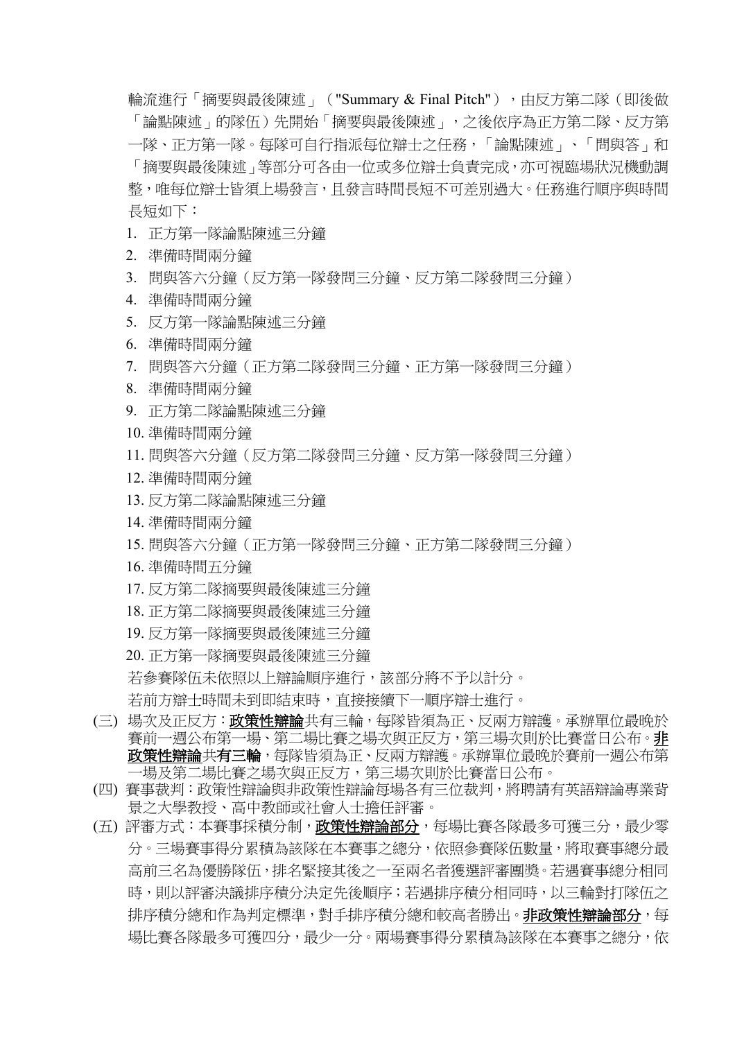輪流進行「摘要與最後陳述」("Summary & Final Pitch"),由反方第二隊(即後做 「論點陳述」的隊伍)先開始「摘要與最後陳述」,之後依序為正方第二隊、反方第 一隊、正方第一隊。每隊可自行指派每位辯士之任務,「論點陳述」、「問與答」和 「摘要與最後陳述」等部分可各由一位或多位辯士負責完成,亦可視臨場狀況機動調 整,唯每位辯士皆須上場發言,且發言時間長短不可差別過大。任務進行順序與時間 長短如下:

- 1. 正方第一隊論點陳述三分鐘
- 2. 準備時間兩分鐘
- 3. 問與答六分鐘(反方第一隊發問三分鐘、反方第二隊發問三分鐘)
- 4. 準備時間兩分鐘
- 5. 反方第一隊論點陳述三分鐘
- 6. 準備時間兩分鐘
- 7. 問與答六分鐘(正方第二隊發問三分鐘、正方第一隊發問三分鐘)
- 8. 準備時間兩分鐘
- 9. 正方第二隊論點陳述三分鐘
- 10. 準備時間兩分鐘
- 11. 問與答六分鐘(反方第二隊發問三分鐘、反方第一隊發問三分鐘)
- 12. 準備時間兩分鐘
- 13. 反方第二隊論點陳述三分鐘
- 14. 準備時間兩分鐘
- 15. 問與答六分鐘(正方第一隊發問三分鐘、正方第二隊發問三分鐘)
- 16. 準備時間五分鐘
- 17. 反方第二隊摘要與最後陳述三分鐘
- 18. 正方第二隊摘要與最後陳述三分鐘
- 19. 反方第一隊摘要與最後陳述三分鐘
- 20. 正方第一隊摘要與最後陳述三分鐘
- 若參賽隊伍未依照以上辯論順序進行,該部分將不予以計分。
- 若前方辯士時間未到即結束時,直接接續下一順序辯士進行。
- (三) 場次及正反方:**政策性辯論**共有三輪,每隊皆須為正、反兩方辯護。承辦單位最晚於 賽前一週公布第一場、第二場比賽之場次與正反方,第三場次則於比賽當日公布。非 政策性辯論共有三輪,每隊皆須為正、反兩方辯護。承辦單位最晚於賽前一週公布第 一場及第二場比賽之場次與正反方,第三場次則於比賽當日公布。
- (四) 賽事裁判:政策性辯論與非政策性辯論每場各有三位裁判,將聘請有英語辯論專業背 景之大學教授、高中教師或社會人士擔任評審。
- (五) 評審方式:本賽事採積分制,政策性辯論部分,每場比賽各隊最多可獲三分,最少零 分。三場賽事得分累積為該隊在本賽事之總分,依照參賽隊伍數量,將取賽事總分最 高前三名為優勝隊伍,排名緊接其後之一至兩名者獲選評審團獎。若遇賽事總分相同 時,則以評審決議排序積分決定先後順序;若遇排序積分相同時,以三輪對打隊伍之 排序積分總和作為判定標準,對手排序積分總和較高者勝出。非政策性辯論部分,每 場比賽各隊最多可獲四分,最少一分。兩場賽事得分累積為該隊在本賽事之總分,依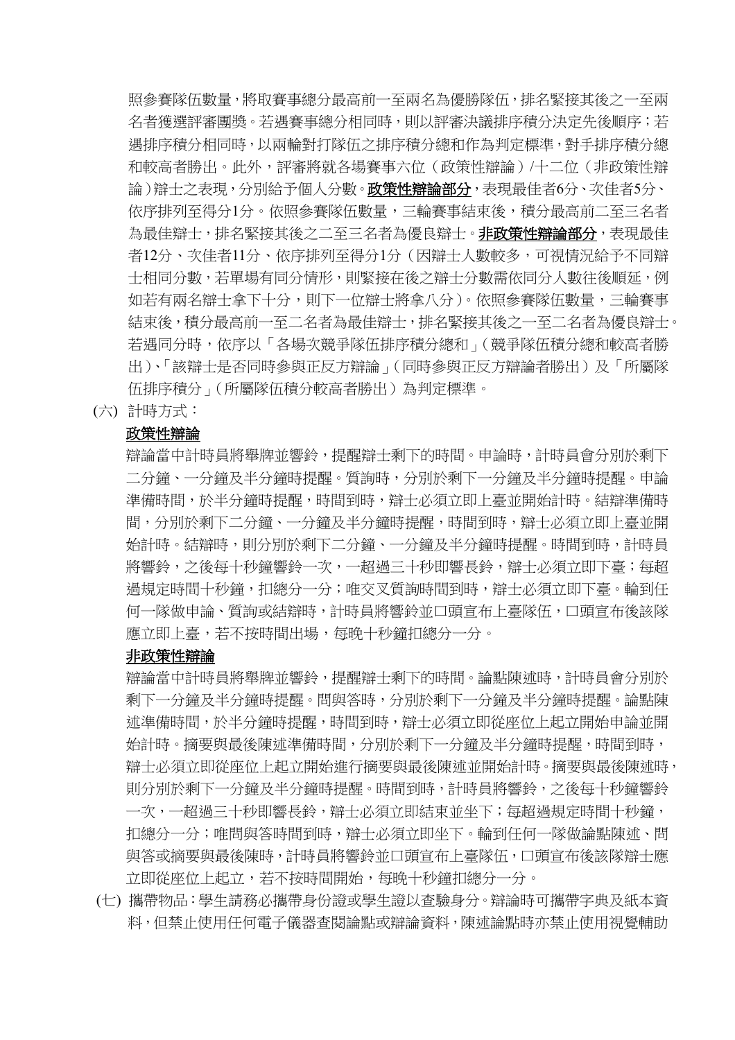照參賽隊伍數量,將取賽事總分最高前一至兩名為優勝隊伍,排名緊接其後之一至兩 名者獲選評審團獎。若遇賽事總分相同時,則以評審決議排序積分決定先後順序;若 遇排序積分相同時,以兩輪對打隊伍之排序積分總和作為判定標準,對手排序積分總 和較高者勝出。此外,評審將就各場賽事六位(政策性辯論)/十二位(非政策性辯 論)辯士之表現,分別給予個人分數。**政策性辯論部分**,表現最佳者6分、次佳者5分、 依序排列至得分1分。依照參賽隊伍數量,三輪賽事結束後,積分最高前二至三名者 為最佳辯士,排名緊接其後之二至三名者為優良辯士。**非政策性辯論部分**,表現最佳 者12分、次佳者11分、依序排列至得分1分(因辯士人數較多,可視情況給予不同辯 士相同分數,若單場有同分情形,則緊接在後之辯士分數需依同分人數往後順延,例 如若有兩名辯士拿下十分,則下一位辯士將拿八分)。依照參賽隊伍數量,三輪賽事 結束後,積分最高前一至二名者為最佳辯士,排名緊接其後之一至二名者為優良辯士。 若遇同分時,依序以「各場次競爭隊伍排序積分總和」(競爭隊伍積分總和較高者勝 出)、「該辯士是否同時參與正反方辯論」(同時參與正反方辯論者勝出)及「所屬隊 伍排序積分」(所屬隊伍積分較高者勝出)為判定標準。

(六) 計時方式:

#### 政策性辯論

辯論當中計時員將舉牌並響鈴,提醒辯士剩下的時間。申論時,計時員會分別於剩下 二分鐘、一分鐘及半分鐘時提醒。質詢時,分別於剩下一分鐘及半分鐘時提醒。申論 準備時間,於半分鐘時提醒,時間到時,辯士必須立即上臺並開始計時。結辯準備時 間,分別於剩下二分鐘、一分鐘及半分鐘時提醒,時間到時,辯士必須立即上臺並開 始計時。結辯時,則分別於剩下二分鐘、一分鐘及半分鐘時提醒。時間到時,計時員 將響鈴,之後每十秒鐘響鈴一次,一超過三十秒即響長鈴,辯士必須立即下臺;每超 過規定時間十秒鐘,扣總分一分;唯交叉質詢時間到時,辯士必須立即下臺。輪到任 何一隊做申論、質詢或結辯時,計時員將響鈴並口頭宣布上臺隊伍,口頭宣布後該隊 應立即上臺,若不按時間出場,每晚十秒鐘扣總分一分。

#### 非政策性辯論

辯論當中計時員將舉牌並響鈴,提醒辯士剩下的時間。論點陳述時,計時員會分別於 剩下一分鐘及半分鐘時提醒。問與答時,分別於剩下一分鐘及半分鐘時提醒。論點陳 述準備時間,於半分鐘時提醒,時間到時,辯士必須立即從座位上起立開始申論並開 始計時。摘要與最後陳述準備時間,分別於剩下一分鐘及半分鐘時提醒,時間到時, 辯士必須立即從座位上起立開始進行摘要與最後陳述並開始計時。摘要與最後陳述時, 則分別於剩下一分鐘及半分鐘時提醒。時間到時,計時員將響鈴,之後每十秒鐘響鈴 一次,一超過三十秒即響長鈴,辯士必須立即結束並坐下;每超過規定時間十秒鐘, 扣總分一分;唯問與答時間到時,辯士必須立即坐下。輪到任何一隊做論點陳述、問 與答或摘要與最後陳時,計時員將響鈴並口頭宣布上臺隊伍,口頭宣布後該隊辯士應 立即從座位上起立,若不按時間開始,每晚十秒鐘扣總分一分。

(七) 攜帶物品:學生請務必攜帶身份證或學生證以查驗身分。辯論時可攜帶字典及紙本資 料,但禁止使用任何電子儀器查閱論點或辯論資料,陳述論點時亦禁止使用視覺輔助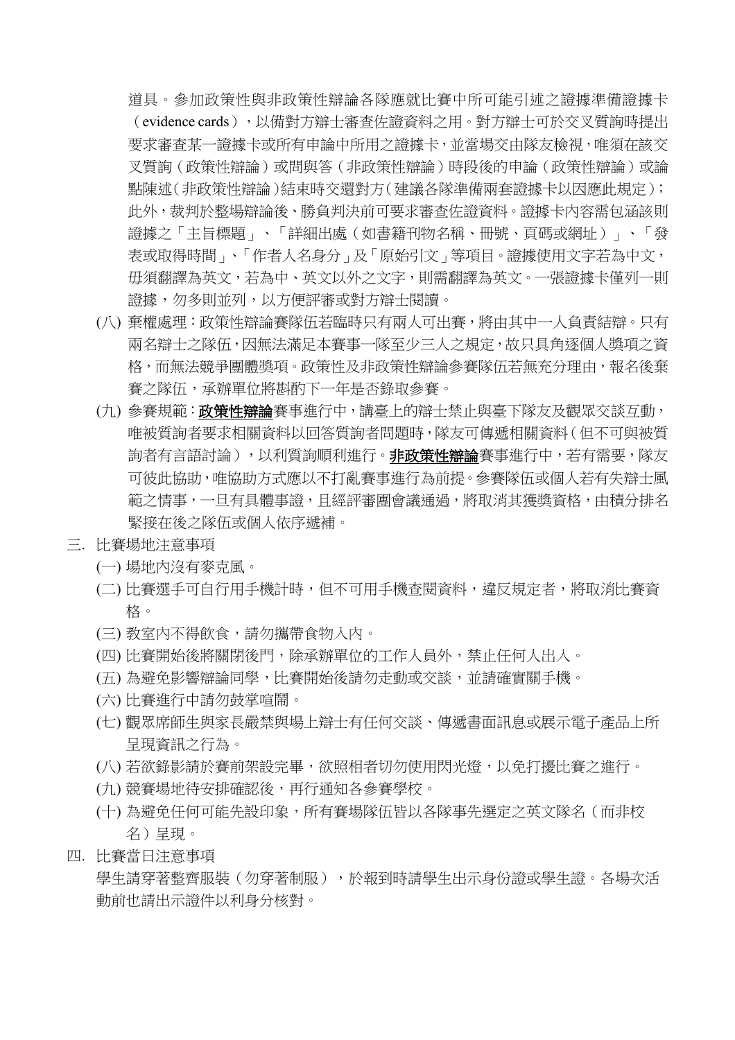道具。參加政策性與非政策性辯論各隊應就比賽中所可能引述之證據準備證據卡 (evidence cards),以備對方辯士審查佐證資料之用。對方辯士可於交叉質詢時提出 要求審查某一證據卡或所有申論中所用之證據卡,並當場交由隊友檢視,唯須在該交 叉質詢(政策性辯論)或問與答(非政策性辯論)時段後的申論(政策性辯論)或論 點陳述(非政策性辯論)結束時交還對方(建議各隊準備兩套證據卡以因應此規定); 此外,裁判於整場辯論後、勝負判決前可要求審查佐證資料。證據卡內容需包涵該則 證據之「主旨標題」、「詳細出處(如書籍刊物名稱、冊號、頁碼或網址)」、「發 表或取得時間」、「作者人名身分」及「原始引文」等項目。證據使用文字若為中文, 毋須翻譯為英文,若為中、英文以外之文字,則需翻譯為英文。一張證據卡僅列一則 證據,勿多則並列,以方便評審或對方辯士閱讀。

- (八) 棄權處理:政策性辯論賽隊伍若臨時只有兩人可出賽,將由其中一人負責結辯。只有 兩名辯士之隊伍,因無法滿足本賽事一隊至少三人之規定,故只具角逐個人獎項之資 格,而無法競爭團體獎項。政策性及非政策性辯論參賽隊伍若無充分理由,報名後棄 賽之隊伍,承辦單位將斟酌下一年是否錄取參賽。
- (九) 參賽規範:**政策性辯論**賽事進行中,講臺上的辯士禁止與臺下隊友及觀眾交談互動, 唯被質詢者要求相關資料以回答質詢者問題時,隊友可傳遞相關資料(但不可與被質 詢者有言語討論),以利質詢順利進行。**非政策性辯論**賽事進行中,若有需要,隊友 可彼此協助,唯協助方式應以不打亂賽事進行為前提。參賽隊伍或個人若有失辯士風 範之情事,一旦有具體事證,且經評審團會議通過,將取消其獲獎資格,由積分排名 緊接在後之隊伍或個人依序遞補。
- 三. 比賽場地注意事項
	- (一) 場地內沒有麥克風。
	- (二) 比賽選手可自行用手機計時,但不可用手機查閱資料,違反規定者,將取消比賽資 格。
	- (三) 教室內不得飲食,請勿攜帶食物入內。
	- (四) 比賽開始後將關閉後門,除承辦單位的工作人員外,禁止任何人出入。
	- (五) 為避免影響辯論同學,比賽開始後請勿走動或交談,並請確實關手機。
	- (六) 比賽進行中請勿鼓掌喧鬧。
	- (七) 觀眾席師生與家長嚴禁與場上辯士有任何交談、傳遞書面訊息或展示電子產品上所 呈現資訊之行為。
	- (八) 若欲錄影請於賽前架設完畢,欲照相者切勿使用閃光燈,以免打擾比賽之進行。
	- (九) 競賽場地待安排確認後,再行通知各參賽學校。
	- (十) 為避免任何可能先設印象,所有賽場隊伍皆以各隊事先選定之英文隊名(而非校 名)呈現。
- 四. 比賽當日注意事項

學生請穿著整齊服裝(勿穿著制服),於報到時請學生出示身份證或學生證。各場次活 動前也請出示證件以利身分核對。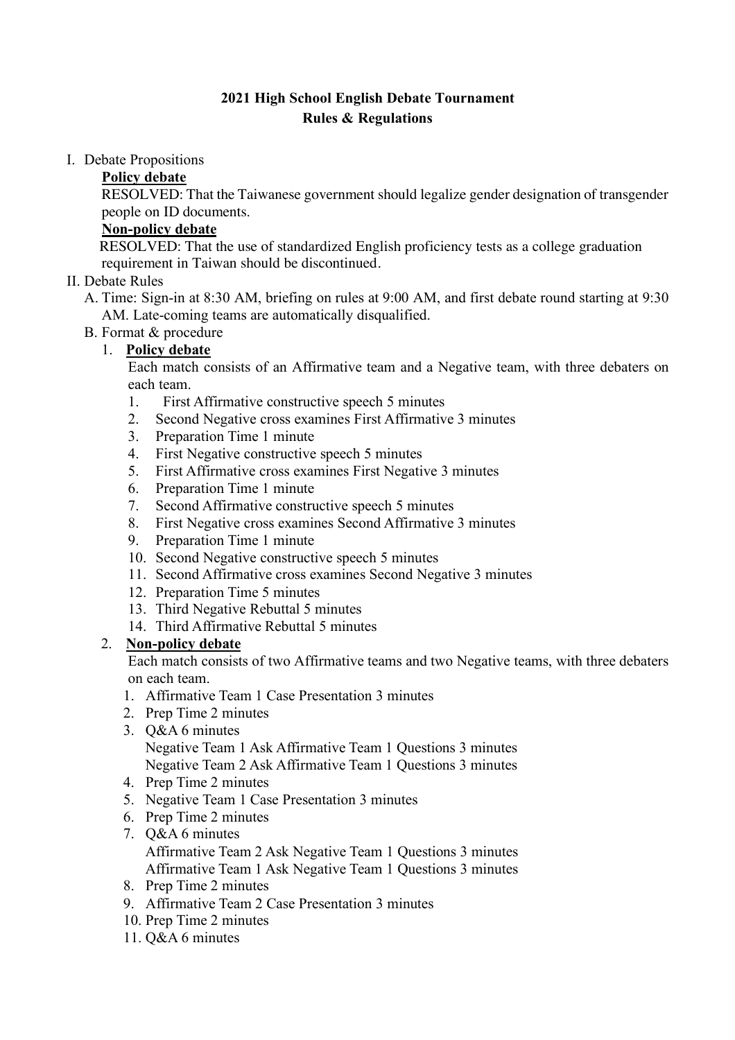## **2021 High School English Debate Tournament Rules & Regulations**

#### I. Debate Propositions

#### **Policy debate**

RESOLVED: That the Taiwanese government should legalize gender designation of transgender people on ID documents.

## **Non-policy debate**

RESOLVED: That the use of standardized English proficiency tests as a college graduation requirement in Taiwan should be discontinued.

## II. Debate Rules

- A. Time: Sign-in at 8:30 AM, briefing on rules at 9:00 AM, and first debate round starting at 9:30 AM. Late-coming teams are automatically disqualified.
- B. Format & procedure

## 1. **Policy debate**

Each match consists of an Affirmative team and a Negative team, with three debaters on each team.

- 1. First Affirmative constructive speech 5 minutes
- 2. Second Negative cross examines First Affirmative 3 minutes
- 3. Preparation Time 1 minute
- 4. First Negative constructive speech 5 minutes
- 5. First Affirmative cross examines First Negative 3 minutes
- 6. Preparation Time 1 minute
- 7. Second Affirmative constructive speech 5 minutes
- 8. First Negative cross examines Second Affirmative 3 minutes
- 9. Preparation Time 1 minute
- 10. Second Negative constructive speech 5 minutes
- 11. Second Affirmative cross examines Second Negative 3 minutes
- 12. Preparation Time 5 minutes
- 13. Third Negative Rebuttal 5 minutes
- 14. Third Affirmative Rebuttal 5 minutes

## 2. **Non-policy debate**

Each match consists of two Affirmative teams and two Negative teams, with three debaters on each team.

- 1. Affirmative Team 1 Case Presentation 3 minutes
- 2. Prep Time 2 minutes
- 3. Q&A 6 minutes Negative Team 1 Ask Affirmative Team 1 Questions 3 minutes Negative Team 2 Ask Affirmative Team 1 Questions 3 minutes
- 4. Prep Time 2 minutes
- 5. Negative Team 1 Case Presentation 3 minutes
- 6. Prep Time 2 minutes
- 7. Q&A 6 minutes Affirmative Team 2 Ask Negative Team 1 Questions 3 minutes Affirmative Team 1 Ask Negative Team 1 Questions 3 minutes
- 8. Prep Time 2 minutes
- 9. Affirmative Team 2 Case Presentation 3 minutes
- 10. Prep Time 2 minutes
- 11. Q&A 6 minutes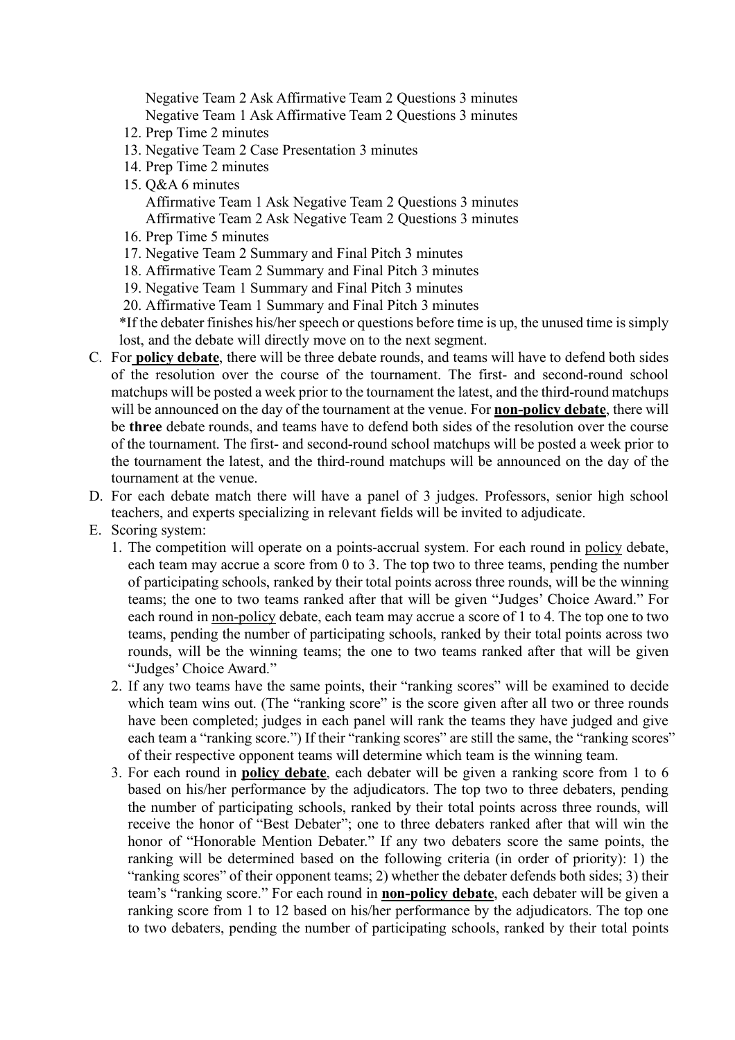Negative Team 2 Ask Affirmative Team 2 Questions 3 minutes Negative Team 1 Ask Affirmative Team 2 Questions 3 minutes

- 12. Prep Time 2 minutes
- 13. Negative Team 2 Case Presentation 3 minutes
- 14. Prep Time 2 minutes
- 15. Q&A 6 minutes

Affirmative Team 1 Ask Negative Team 2 Questions 3 minutes Affirmative Team 2 Ask Negative Team 2 Questions 3 minutes

- 16. Prep Time 5 minutes
- 17. Negative Team 2 Summary and Final Pitch 3 minutes
- 18. Affirmative Team 2 Summary and Final Pitch 3 minutes
- 19. Negative Team 1 Summary and Final Pitch 3 minutes
- 20. Affirmative Team 1 Summary and Final Pitch 3 minutes

\*If the debater finishes his/her speech or questions before time is up, the unused time is simply lost, and the debate will directly move on to the next segment.

- C. For **policy debate**, there will be three debate rounds, and teams will have to defend both sides of the resolution over the course of the tournament. The first- and second-round school matchups will be posted a week prior to the tournament the latest, and the third-round matchups will be announced on the day of the tournament at the venue. For **non-policy debate**, there will be **three** debate rounds, and teams have to defend both sides of the resolution over the course of the tournament. The first- and second-round school matchups will be posted a week prior to the tournament the latest, and the third-round matchups will be announced on the day of the tournament at the venue.
- D. For each debate match there will have a panel of 3 judges. Professors, senior high school teachers, and experts specializing in relevant fields will be invited to adjudicate.
- E. Scoring system:
	- 1. The competition will operate on a points-accrual system. For each round in policy debate, each team may accrue a score from 0 to 3. The top two to three teams, pending the number of participating schools, ranked by their total points across three rounds, will be the winning teams; the one to two teams ranked after that will be given "Judges' Choice Award." For each round in non-policy debate, each team may accrue a score of 1 to 4. The top one to two teams, pending the number of participating schools, ranked by their total points across two rounds, will be the winning teams; the one to two teams ranked after that will be given "Judges' Choice Award."
	- 2. If any two teams have the same points, their "ranking scores" will be examined to decide which team wins out. (The "ranking score" is the score given after all two or three rounds have been completed; judges in each panel will rank the teams they have judged and give each team a "ranking score.") If their "ranking scores" are still the same, the "ranking scores" of their respective opponent teams will determine which team is the winning team.
	- 3. For each round in **policy debate**, each debater will be given a ranking score from 1 to 6 based on his/her performance by the adjudicators. The top two to three debaters, pending the number of participating schools, ranked by their total points across three rounds, will receive the honor of "Best Debater"; one to three debaters ranked after that will win the honor of "Honorable Mention Debater." If any two debaters score the same points, the ranking will be determined based on the following criteria (in order of priority): 1) the "ranking scores" of their opponent teams; 2) whether the debater defends both sides; 3) their team's "ranking score." For each round in **non-policy debate**, each debater will be given a ranking score from 1 to 12 based on his/her performance by the adjudicators. The top one to two debaters, pending the number of participating schools, ranked by their total points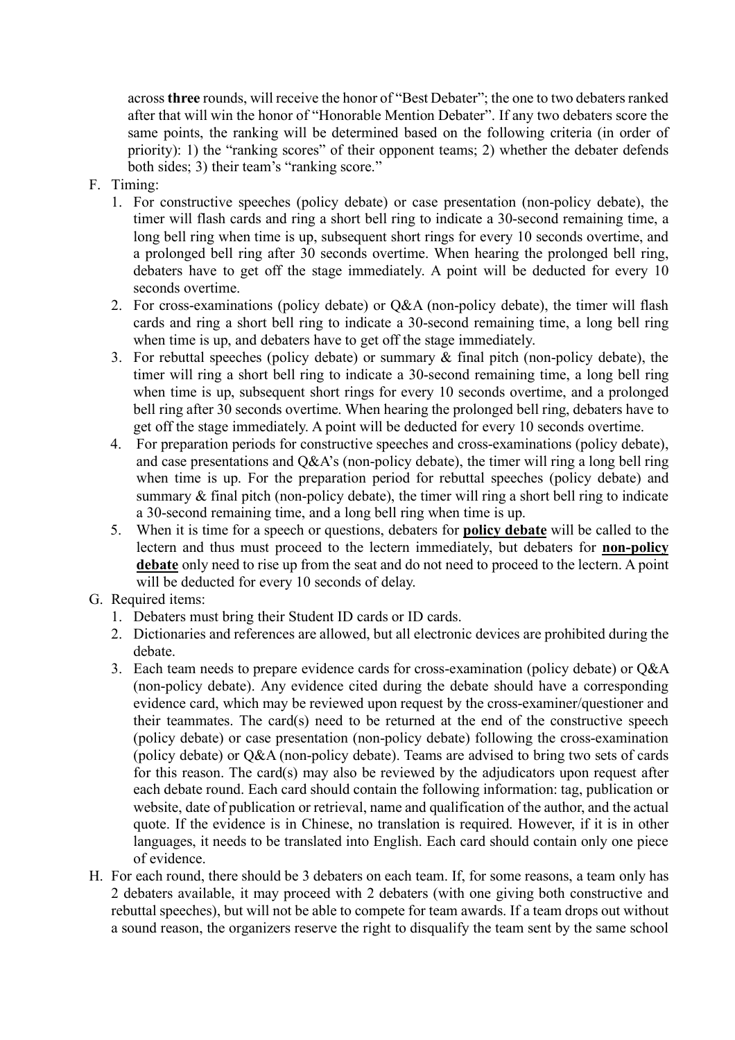across **three** rounds, will receive the honor of "Best Debater"; the one to two debaters ranked after that will win the honor of "Honorable Mention Debater". If any two debaters score the same points, the ranking will be determined based on the following criteria (in order of priority): 1) the "ranking scores" of their opponent teams; 2) whether the debater defends both sides; 3) their team's "ranking score."

- F. Timing:
	- 1. For constructive speeches (policy debate) or case presentation (non-policy debate), the timer will flash cards and ring a short bell ring to indicate a 30-second remaining time, a long bell ring when time is up, subsequent short rings for every 10 seconds overtime, and a prolonged bell ring after 30 seconds overtime. When hearing the prolonged bell ring, debaters have to get off the stage immediately. A point will be deducted for every 10 seconds overtime.
	- 2. For cross-examinations (policy debate) or Q&A (non-policy debate), the timer will flash cards and ring a short bell ring to indicate a 30-second remaining time, a long bell ring when time is up, and debaters have to get off the stage immediately.
	- 3. For rebuttal speeches (policy debate) or summary & final pitch (non-policy debate), the timer will ring a short bell ring to indicate a 30-second remaining time, a long bell ring when time is up, subsequent short rings for every 10 seconds overtime, and a prolonged bell ring after 30 seconds overtime. When hearing the prolonged bell ring, debaters have to get off the stage immediately. A point will be deducted for every 10 seconds overtime.
	- 4. For preparation periods for constructive speeches and cross-examinations (policy debate), and case presentations and Q&A's (non-policy debate), the timer will ring a long bell ring when time is up. For the preparation period for rebuttal speeches (policy debate) and summary & final pitch (non-policy debate), the timer will ring a short bell ring to indicate a 30-second remaining time, and a long bell ring when time is up.
	- 5. When it is time for a speech or questions, debaters for **policy debate** will be called to the lectern and thus must proceed to the lectern immediately, but debaters for **non-policy debate** only need to rise up from the seat and do not need to proceed to the lectern. A point will be deducted for every 10 seconds of delay.
- G. Required items:
	- 1. Debaters must bring their Student ID cards or ID cards.
	- 2. Dictionaries and references are allowed, but all electronic devices are prohibited during the debate.
	- 3. Each team needs to prepare evidence cards for cross-examination (policy debate) or Q&A (non-policy debate). Any evidence cited during the debate should have a corresponding evidence card, which may be reviewed upon request by the cross-examiner/questioner and their teammates. The card(s) need to be returned at the end of the constructive speech (policy debate) or case presentation (non-policy debate) following the cross-examination (policy debate) or Q&A (non-policy debate). Teams are advised to bring two sets of cards for this reason. The card(s) may also be reviewed by the adjudicators upon request after each debate round. Each card should contain the following information: tag, publication or website, date of publication or retrieval, name and qualification of the author, and the actual quote. If the evidence is in Chinese, no translation is required. However, if it is in other languages, it needs to be translated into English. Each card should contain only one piece of evidence.
- H. For each round, there should be 3 debaters on each team. If, for some reasons, a team only has 2 debaters available, it may proceed with 2 debaters (with one giving both constructive and rebuttal speeches), but will not be able to compete for team awards. If a team drops out without a sound reason, the organizers reserve the right to disqualify the team sent by the same school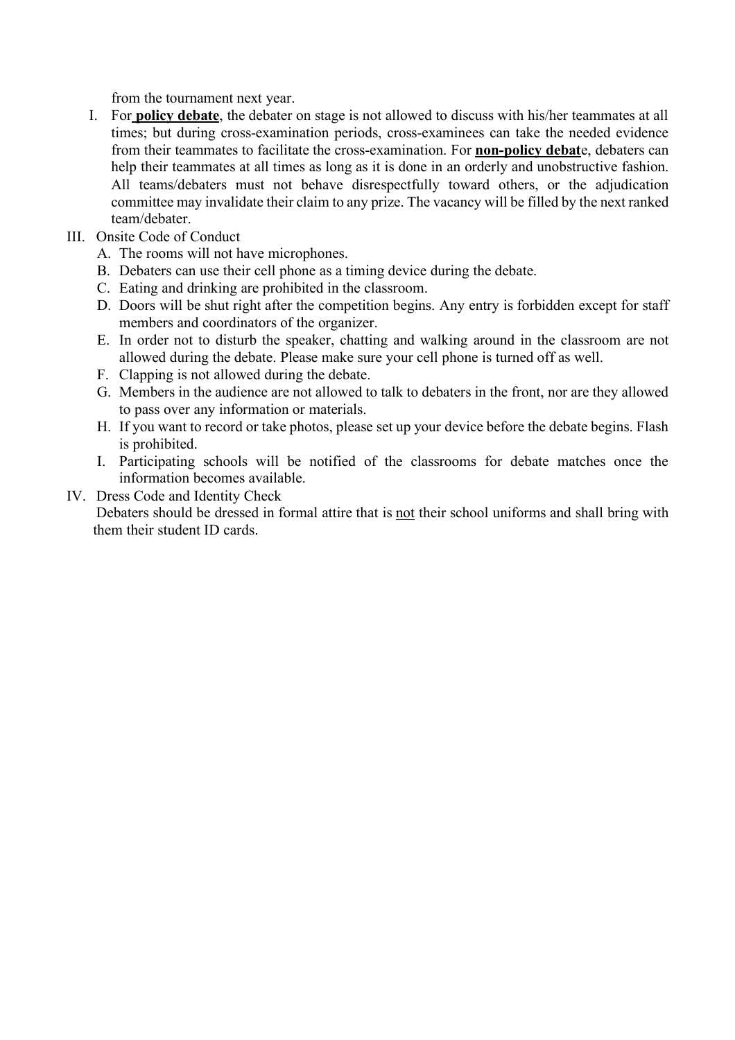from the tournament next year.

- I. For **policy debate**, the debater on stage is not allowed to discuss with his/her teammates at all times; but during cross-examination periods, cross-examinees can take the needed evidence from their teammates to facilitate the cross-examination. For **non-policy debat**e, debaters can help their teammates at all times as long as it is done in an orderly and unobstructive fashion. All teams/debaters must not behave disrespectfully toward others, or the adjudication committee may invalidate their claim to any prize. The vacancy will be filled by the next ranked team/debater.
- III. Onsite Code of Conduct
	- A. The rooms will not have microphones.
	- B. Debaters can use their cell phone as a timing device during the debate.
	- C. Eating and drinking are prohibited in the classroom.
	- D. Doors will be shut right after the competition begins. Any entry is forbidden except for staff members and coordinators of the organizer.
	- E. In order not to disturb the speaker, chatting and walking around in the classroom are not allowed during the debate. Please make sure your cell phone is turned off as well.
	- F. Clapping is not allowed during the debate.
	- G. Members in the audience are not allowed to talk to debaters in the front, nor are they allowed to pass over any information or materials.
	- H. If you want to record or take photos, please set up your device before the debate begins. Flash is prohibited.
	- I. Participating schools will be notified of the classrooms for debate matches once the information becomes available.
- IV. Dress Code and Identity Check

Debaters should be dressed in formal attire that is not their school uniforms and shall bring with them their student ID cards.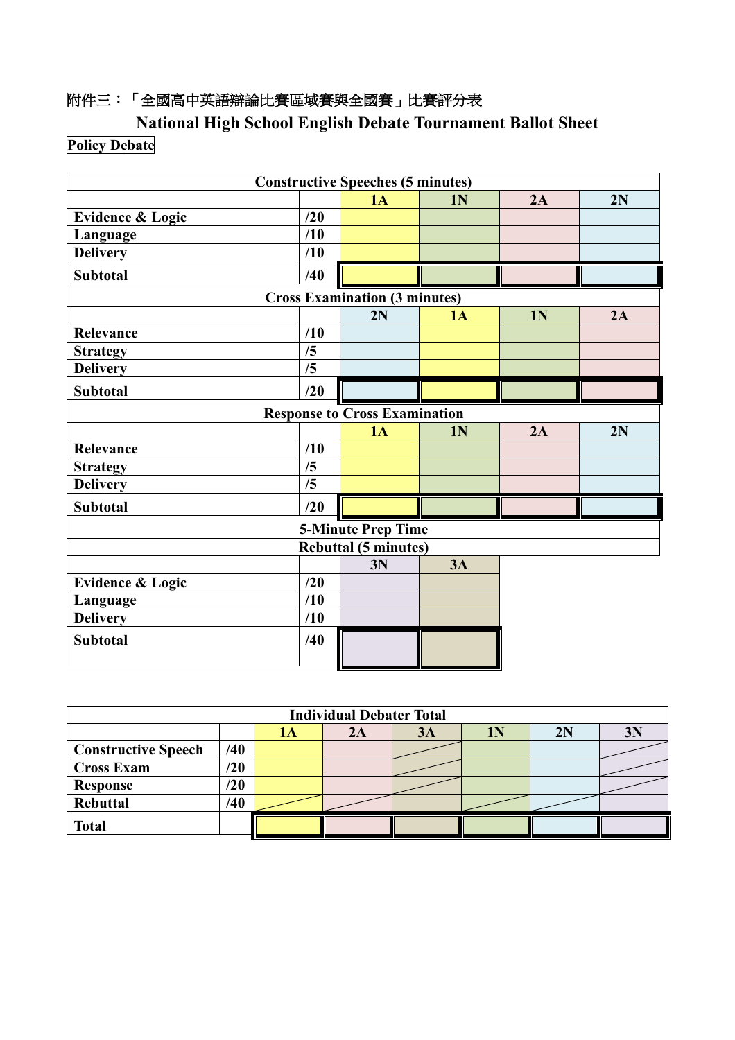## 附件三:「全國高中英語辯論比賽區域賽與全國賽」比賽評分表

**National High School English Debate Tournament Ballot Sheet Policy Debate**

|                             | <b>Constructive Speeches (5 minutes)</b> |                                      |                |                |    |  |  |  |
|-----------------------------|------------------------------------------|--------------------------------------|----------------|----------------|----|--|--|--|
|                             |                                          | 1A                                   | 1 <sub>N</sub> | 2A             | 2N |  |  |  |
| <b>Evidence &amp; Logic</b> | /20                                      |                                      |                |                |    |  |  |  |
| Language                    | /10                                      |                                      |                |                |    |  |  |  |
| <b>Delivery</b>             | /10                                      |                                      |                |                |    |  |  |  |
| <b>Subtotal</b>             | /40                                      |                                      |                |                |    |  |  |  |
|                             |                                          | <b>Cross Examination (3 minutes)</b> |                |                |    |  |  |  |
|                             |                                          | 2N                                   | 1A             | 1 <sub>N</sub> | 2A |  |  |  |
| Relevance                   | /10                                      |                                      |                |                |    |  |  |  |
| <b>Strategy</b>             | /5                                       |                                      |                |                |    |  |  |  |
| <b>Delivery</b>             | /5                                       |                                      |                |                |    |  |  |  |
| <b>Subtotal</b>             | /20                                      |                                      |                |                |    |  |  |  |
|                             |                                          | <b>Response to Cross Examination</b> |                |                |    |  |  |  |
|                             |                                          | 1A                                   | 1 <sub>N</sub> | 2A             | 2N |  |  |  |
| Relevance                   | /10                                      |                                      |                |                |    |  |  |  |
| <b>Strategy</b>             | /5                                       |                                      |                |                |    |  |  |  |
| <b>Delivery</b>             | /5                                       |                                      |                |                |    |  |  |  |
| <b>Subtotal</b>             | /20                                      |                                      |                |                |    |  |  |  |
|                             |                                          | <b>5-Minute Prep Time</b>            |                |                |    |  |  |  |
|                             |                                          | <b>Rebuttal (5 minutes)</b>          |                |                |    |  |  |  |
|                             |                                          | 3N                                   | 3A             |                |    |  |  |  |
| <b>Evidence &amp; Logic</b> | $\sqrt{20}$                              |                                      |                |                |    |  |  |  |
| Language                    | /10                                      |                                      |                |                |    |  |  |  |
| <b>Delivery</b>             | /10                                      |                                      |                |                |    |  |  |  |
| <b>Subtotal</b>             | /40                                      |                                      |                |                |    |  |  |  |
|                             |                                          |                                      |                |                |    |  |  |  |

| <b>Individual Debater Total</b> |             |  |    |           |  |    |                |
|---------------------------------|-------------|--|----|-----------|--|----|----------------|
|                                 |             |  | 2Α | <b>3A</b> |  | 2N | 3 <sub>N</sub> |
| <b>Constructive Speech</b>      | /40         |  |    |           |  |    |                |
| <b>Cross Exam</b>               | /20         |  |    |           |  |    |                |
| <b>Response</b>                 | $\sqrt{20}$ |  |    |           |  |    |                |
| <b>Rebuttal</b>                 | /40         |  |    |           |  |    |                |
| <b>Total</b>                    |             |  |    |           |  |    |                |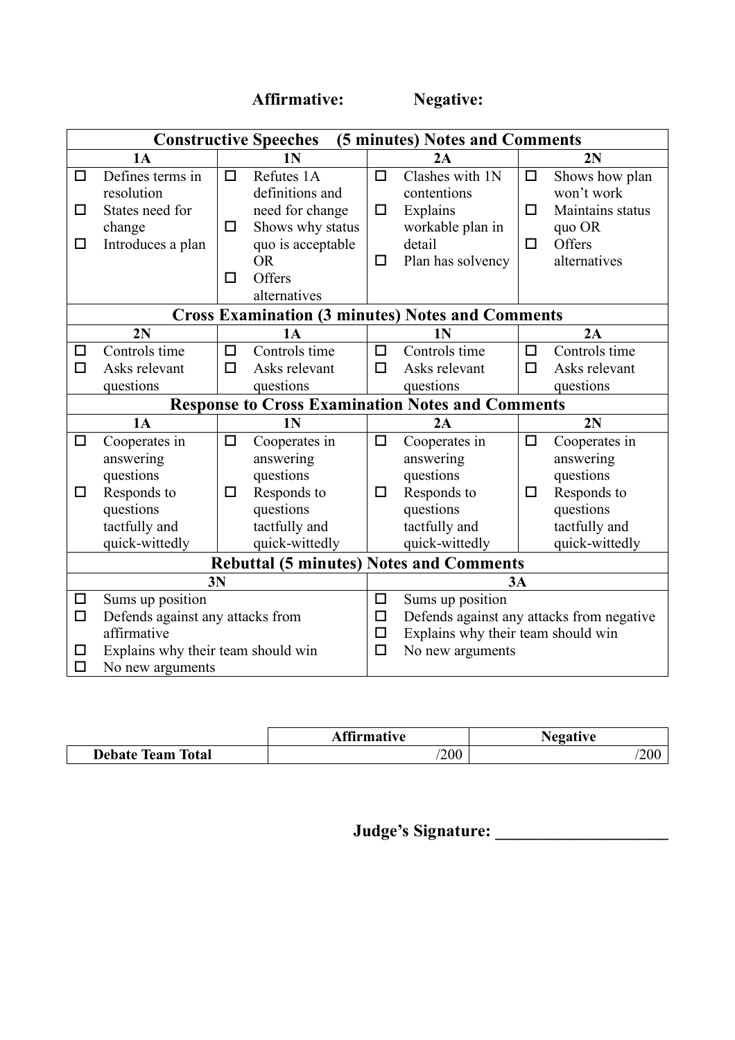**Affirmative: Negative:** 

|                            | <b>Constructive Speeches</b><br>(5 minutes) Notes and Comments |        |                                                         |        |                                           |        |                  |  |
|----------------------------|----------------------------------------------------------------|--------|---------------------------------------------------------|--------|-------------------------------------------|--------|------------------|--|
|                            |                                                                |        |                                                         |        |                                           |        |                  |  |
|                            | 1A                                                             |        | 1N                                                      |        | 2A                                        |        | 2N               |  |
| $\Box$                     | Defines terms in                                               | $\Box$ | Refutes 1A                                              | □      | Clashes with 1N                           | $\Box$ | Shows how plan   |  |
|                            | resolution                                                     |        | definitions and                                         |        | contentions                               |        | won't work       |  |
| □                          | States need for                                                |        | need for change                                         | $\Box$ | Explains                                  | $\Box$ | Maintains status |  |
|                            | change                                                         | □      | Shows why status                                        |        | workable plan in                          |        | quo OR           |  |
| □                          | Introduces a plan                                              |        | quo is acceptable                                       |        | detail                                    | $\Box$ | Offers           |  |
|                            |                                                                |        | <b>OR</b>                                               | □      | Plan has solvency                         |        | alternatives     |  |
|                            |                                                                | □      | Offers                                                  |        |                                           |        |                  |  |
|                            |                                                                |        | alternatives                                            |        |                                           |        |                  |  |
|                            |                                                                |        | <b>Cross Examination (3 minutes) Notes and Comments</b> |        |                                           |        |                  |  |
|                            | 2N                                                             |        | <b>1A</b>                                               |        | 1 <sub>N</sub>                            |        | 2A               |  |
| $\Box$                     | Controls time                                                  | $\Box$ | Controls time                                           | □      | Controls time                             | $\Box$ | Controls time    |  |
| $\Box$                     | Asks relevant                                                  | $\Box$ | Asks relevant                                           | $\Box$ | Asks relevant                             | $\Box$ | Asks relevant    |  |
|                            | questions                                                      |        | questions                                               |        | questions                                 |        | questions        |  |
|                            |                                                                |        | <b>Response to Cross Examination Notes and Comments</b> |        |                                           |        |                  |  |
|                            | 1A                                                             |        | 1 <sub>N</sub>                                          |        | 2A                                        |        | 2N               |  |
| $\Box$                     | Cooperates in                                                  | □      | Cooperates in                                           | $\Box$ | Cooperates in                             | $\Box$ | Cooperates in    |  |
|                            | answering                                                      |        | answering                                               |        | answering                                 |        | answering        |  |
|                            | questions                                                      |        | questions                                               |        | questions                                 |        | questions        |  |
| □                          | Responds to                                                    | □      | Responds to                                             | ◻      | Responds to                               | □      | Responds to      |  |
|                            | questions                                                      |        | questions                                               |        | questions                                 |        | questions        |  |
|                            | tactfully and                                                  |        | tactfully and                                           |        | tactfully and                             |        | tactfully and    |  |
|                            | quick-wittedly                                                 |        | quick-wittedly                                          |        | quick-wittedly                            |        | quick-wittedly   |  |
|                            |                                                                |        | <b>Rebuttal (5 minutes) Notes and Comments</b>          |        |                                           |        |                  |  |
|                            |                                                                | 3N     |                                                         |        |                                           | 3A     |                  |  |
| $\Box$                     | Sums up position                                               |        |                                                         | □      | Sums up position                          |        |                  |  |
| $\Box$                     | Defends against any attacks from                               |        |                                                         | $\Box$ | Defends against any attacks from negative |        |                  |  |
|                            | affirmative                                                    |        |                                                         | □      | Explains why their team should win        |        |                  |  |
| □                          | Explains why their team should win                             |        |                                                         | $\Box$ | No new arguments                          |        |                  |  |
| $\Box$<br>No new arguments |                                                                |        |                                                         |        |                                           |        |                  |  |

|                      | <b>ffirmative</b> | <b>Negative</b> |
|----------------------|-------------------|-----------------|
| Debate Team<br>Total | 200               | 200             |

**Judge's Signature: \_\_\_\_\_\_\_\_\_\_\_\_\_\_\_\_\_\_\_\_**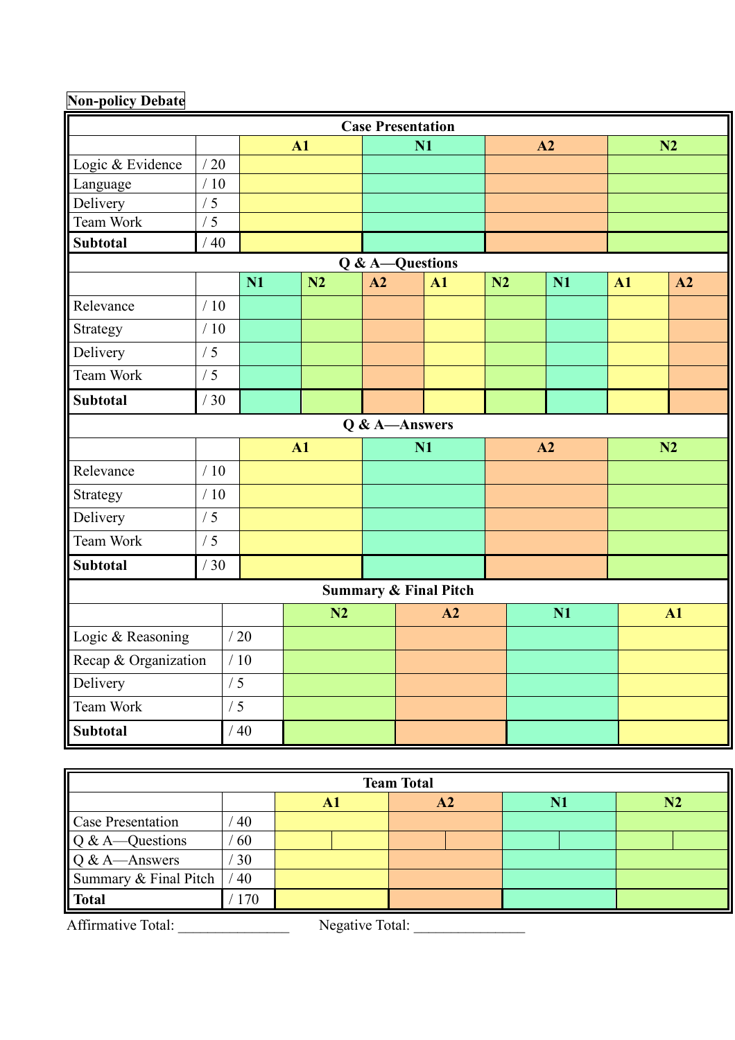# **Non-policy Debate**

| <b>Case Presentation</b>         |             |     |               |    |                 |    |    |    |               |  |
|----------------------------------|-------------|-----|---------------|----|-----------------|----|----|----|---------------|--|
|                                  |             |     | $\mathbf{A1}$ |    | N1              |    | A2 |    | N2            |  |
| Logic & Evidence                 | /20         |     |               |    |                 |    |    |    |               |  |
| Language                         | /10         |     |               |    |                 |    |    |    |               |  |
| Delivery                         | /5          |     |               |    |                 |    |    |    |               |  |
| Team Work                        | /5          |     |               |    |                 |    |    |    |               |  |
| <b>Subtotal</b>                  | $\sqrt{40}$ |     |               |    |                 |    |    |    |               |  |
|                                  |             |     |               |    | Q & A-Questions |    |    |    |               |  |
|                                  |             | N1  | N2            | A2 | A1              | N2 | N1 | A1 | A2            |  |
| Relevance                        | /10         |     |               |    |                 |    |    |    |               |  |
| Strategy                         | /10         |     |               |    |                 |    |    |    |               |  |
| Delivery                         | /5          |     |               |    |                 |    |    |    |               |  |
| Team Work                        | /5          |     |               |    |                 |    |    |    |               |  |
| <b>Subtotal</b>                  | /30         |     |               |    |                 |    |    |    |               |  |
|                                  |             |     |               |    | Q & A-Answers   |    |    |    |               |  |
|                                  |             |     | A1            |    | N1              |    | A2 |    | N2            |  |
| Relevance                        | /10         |     |               |    |                 |    |    |    |               |  |
| Strategy                         | /10         |     |               |    |                 |    |    |    |               |  |
| Delivery                         | /5          |     |               |    |                 |    |    |    |               |  |
| Team Work                        | /5          |     |               |    |                 |    |    |    |               |  |
| <b>Subtotal</b>                  | /30         |     |               |    |                 |    |    |    |               |  |
| <b>Summary &amp; Final Pitch</b> |             |     |               |    |                 |    |    |    |               |  |
|                                  |             |     | N2            |    | A2              | N1 |    |    | $\mathbf{A1}$ |  |
| Logic & Reasoning                |             | /20 |               |    |                 |    |    |    |               |  |
| Recap & Organization             |             | /10 |               |    |                 |    |    |    |               |  |
| Delivery<br>/5                   |             |     |               |    |                 |    |    |    |               |  |
| Team Work                        | /5          |     |               |    |                 |    |    |    |               |  |
| <b>Subtotal</b>                  |             | /40 |               |    |                 |    |    |    |               |  |

| <b>Team Total</b>                     |     |    |                |    |    |  |  |  |
|---------------------------------------|-----|----|----------------|----|----|--|--|--|
|                                       |     | A. | A <sub>2</sub> | N1 | N2 |  |  |  |
| Case Presentation                     | 40  |    |                |    |    |  |  |  |
| $Q & A \rightarrow Q$ uestions        | 60  |    |                |    |    |  |  |  |
| $Q & A$ —Answers                      | 30  |    |                |    |    |  |  |  |
| Summary & Final Pitch                 | 40  |    |                |    |    |  |  |  |
| <b>Total</b>                          | 170 |    |                |    |    |  |  |  |
| Affirmative Total:<br>Negative Total: |     |    |                |    |    |  |  |  |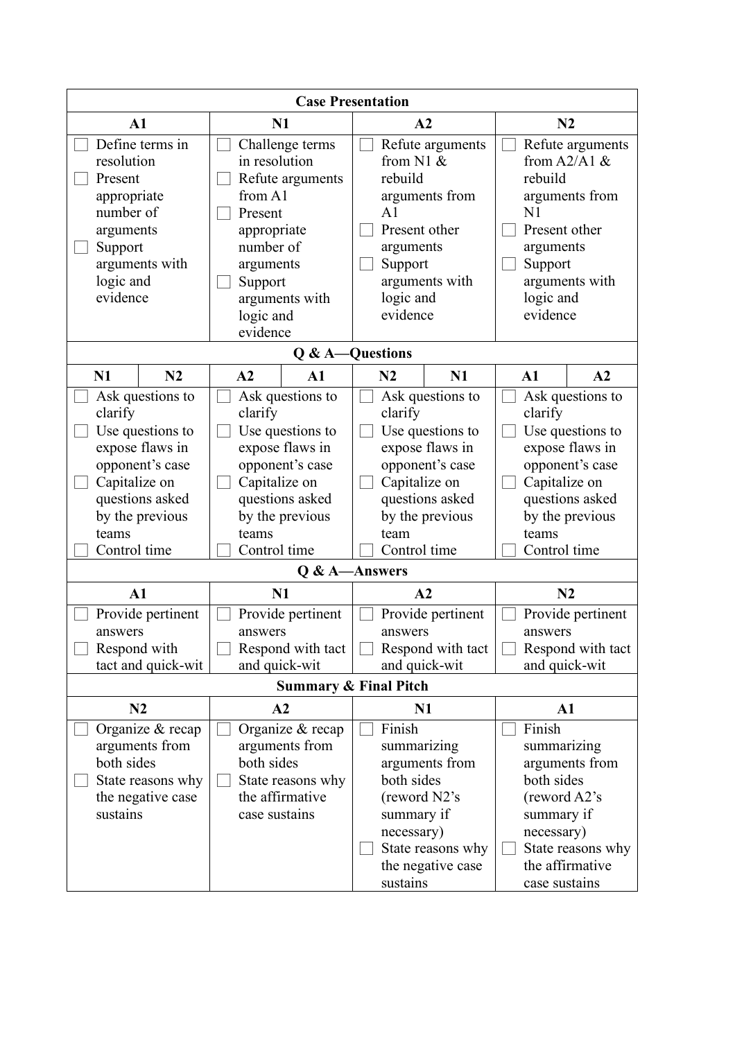| <b>Case Presentation</b> |                                  |                  |                                  |                   |                |                   |                   |               |                   |  |
|--------------------------|----------------------------------|------------------|----------------------------------|-------------------|----------------|-------------------|-------------------|---------------|-------------------|--|
| A1                       |                                  | N1               | A2                               |                   |                |                   | N2                |               |                   |  |
|                          | Define terms in                  | Challenge terms  |                                  | Refute arguments  |                | Refute arguments  |                   |               |                   |  |
| resolution               |                                  | in resolution    |                                  |                   | from $N1$ &    |                   | from $A2/A1 \&$   |               |                   |  |
| Present                  |                                  |                  | Refute arguments                 |                   | rebuild        |                   |                   | rebuild       |                   |  |
| appropriate              |                                  | from A1          |                                  |                   |                | arguments from    |                   |               | arguments from    |  |
| number of                |                                  | Present          |                                  |                   | A1             |                   |                   | N1            |                   |  |
| arguments                |                                  | appropriate      |                                  |                   | Present other  |                   |                   | Present other |                   |  |
| Support                  |                                  | number of        |                                  |                   | arguments      |                   |                   | arguments     |                   |  |
|                          | arguments with                   | arguments        |                                  |                   | Support        |                   |                   | Support       |                   |  |
| logic and                |                                  | Support          |                                  |                   |                | arguments with    |                   |               | arguments with    |  |
| evidence                 |                                  |                  | arguments with                   |                   | logic and      |                   |                   | logic and     |                   |  |
|                          |                                  | logic and        |                                  |                   | evidence       |                   |                   | evidence      |                   |  |
|                          |                                  | evidence         |                                  |                   |                |                   |                   |               |                   |  |
|                          |                                  |                  | Q & A-Questions                  |                   |                |                   |                   |               |                   |  |
| N1                       | N2                               | A2               | $\mathbf{A1}$                    |                   | N2             | N1                |                   | $\mathbf{A1}$ | A2                |  |
|                          | Ask questions to                 |                  | Ask questions to                 |                   |                | Ask questions to  |                   |               | Ask questions to  |  |
| clarify                  |                                  | clarify          |                                  |                   | clarify        |                   |                   | clarify       |                   |  |
|                          | Use questions to                 | Use questions to |                                  | Use questions to  |                | Use questions to  |                   |               |                   |  |
|                          | expose flaws in                  |                  | expose flaws in                  |                   |                | expose flaws in   | expose flaws in   |               |                   |  |
|                          | opponent's case                  | opponent's case  |                                  | opponent's case   |                | opponent's case   |                   |               |                   |  |
| Capitalize on            |                                  |                  | Capitalize on                    |                   | Capitalize on  |                   |                   | Capitalize on |                   |  |
|                          | questions asked                  | questions asked  |                                  | questions asked   |                | questions asked   |                   |               |                   |  |
|                          | by the previous                  |                  | by the previous                  | by the previous   |                |                   | by the previous   |               |                   |  |
| teams                    |                                  | teams            |                                  |                   | team           |                   |                   | teams         |                   |  |
| Control time             |                                  |                  | Control time                     |                   | Control time   |                   |                   | Control time  |                   |  |
|                          |                                  |                  | Q & A-Answers                    |                   |                |                   |                   |               |                   |  |
| A1                       |                                  |                  | N1                               |                   | A2             |                   |                   | N2            |                   |  |
|                          | Provide pertinent                |                  | Provide pertinent                | Provide pertinent |                | Provide pertinent |                   |               |                   |  |
| answers                  |                                  | answers          |                                  | answers           |                | answers           |                   |               |                   |  |
| Respond with             |                                  |                  | Respond with tact                |                   |                | Respond with tact | Respond with tact |               |                   |  |
|                          | tact and quick-wit               |                  | and quick-wit                    |                   |                | and quick-wit     |                   | and quick-wit |                   |  |
|                          |                                  |                  | <b>Summary &amp; Final Pitch</b> |                   |                |                   |                   |               |                   |  |
|                          | N2                               |                  | A2                               |                   | N <sub>1</sub> |                   |                   | $\mathbf{A1}$ |                   |  |
|                          | Organize & recap                 |                  | Organize & recap                 | Finish            |                | Finish            |                   |               |                   |  |
|                          | arguments from<br>arguments from |                  | summarizing                      |                   |                |                   | summarizing       |               |                   |  |
| both sides               |                                  | both sides       |                                  |                   |                | arguments from    |                   |               | arguments from    |  |
|                          | State reasons why                |                  | State reasons why                |                   | both sides     |                   |                   | both sides    |                   |  |
|                          | the negative case                |                  | the affirmative                  |                   | (reword N2's   |                   |                   | (reword A2's  |                   |  |
| sustains                 |                                  |                  | case sustains                    |                   | summary if     |                   |                   | summary if    |                   |  |
|                          |                                  |                  |                                  |                   | necessary)     |                   |                   | necessary)    |                   |  |
|                          |                                  |                  |                                  |                   |                | State reasons why |                   |               | State reasons why |  |
|                          |                                  |                  |                                  |                   |                | the negative case |                   |               | the affirmative   |  |
|                          |                                  |                  |                                  |                   | sustains       |                   |                   | case sustains |                   |  |